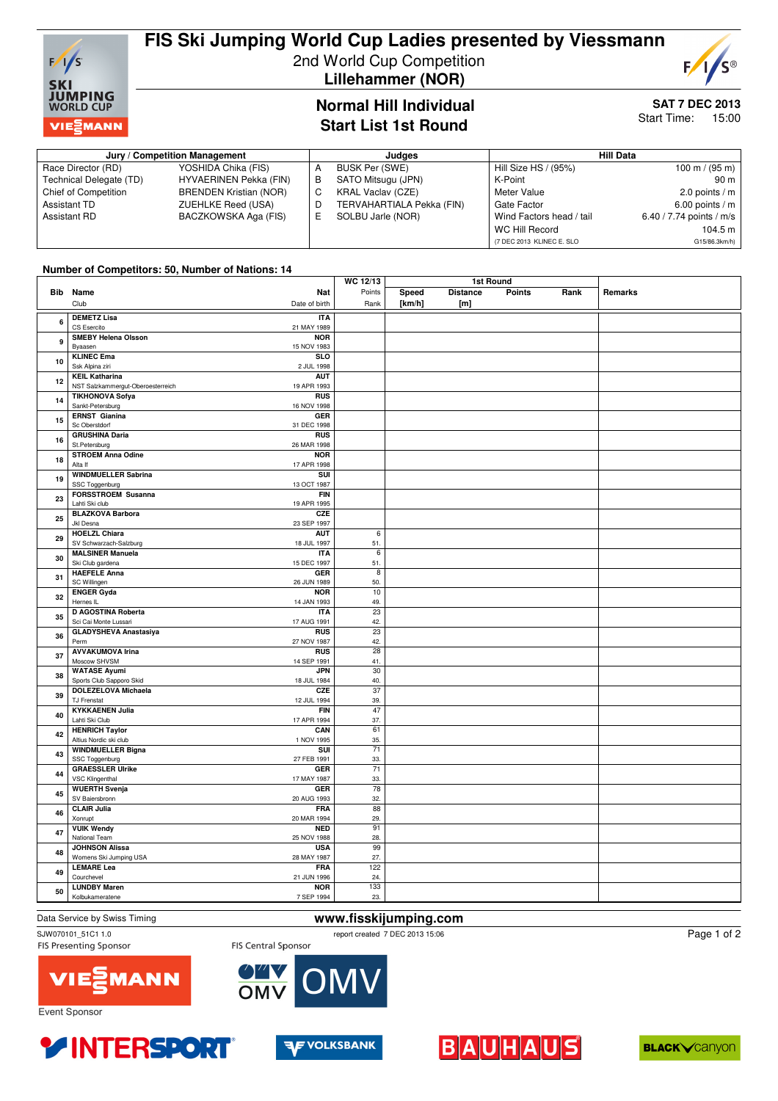

# **FIS Ski Jumping World Cup Ladies presented by Viessmann** 2nd World Cup Competition

 **Lillehammer (NOR)**



#### **SAT 7 DEC 2013** Start Time: 15:00

### **Normal Hill Individual Start List 1st Round**

#### **Jury / Competition Management discussed by Competition Management discussed by Competition Management** Race Director (RD) YOSHIDA Chika (FIS)<br>Technical Delegate (TD) HYVAERINEN Pekka Technical Delegate (TD) HYVAERINEN Pekka (FIN)<br>Chief of Competition BRENDEN Kristian (NOR) BRENDEN Kristian (NOR) Assistant TD **ZUEHLKE Reed (USA)**<br>Assistant RD **BACZKOWSKA Aga (F** BACZKOWSKA Aga (FIS) A BUSK Per (SWE) B SATO Mitsugu (JPN)<br>C KBAL Vaclay (CZE) KRAL Vaclav (CZE) D TERVAHARTIALA Pekka (FIN)<br>E SOLBU Jarle (NOR) SOLBU Jarle (NOR) Hill Size HS / (95%) 100 m / (95 m) K-Point 90 m<br>Meter Value 2.0 points / m 2.0 points /  $m$ Gate Factor 6.00 points / m<br>Wind Factors head / tail 6.40 / 7.74 points / m/s Wind Factors head / tail WC Hill Record 104.5 m (7 DEC 2013 KLINEC E. SLO G15/86.3km/h)

#### **Number of Competitors: 50, Number of Nations: 14**

| Speed<br><b>Distance</b><br><b>Points</b><br>Rank<br><b>Bib</b> Name<br>Nat<br>Points<br>Remarks<br>[km/h]<br>[m]<br>Club<br>Date of birth<br>Rank<br><b>DEMETZ Lisa</b><br><b>ITA</b><br>6<br>CS Esercito<br>21 MAY 1989<br><b>SMEBY Helena Olsson</b><br><b>NOR</b><br>9<br>Byaasen<br>15 NOV 1983<br><b>KLINEC Ema</b><br><b>SLO</b><br>10<br>Ssk Alpina ziri<br>2 JUL 1998<br><b>KEIL Katharina</b><br><b>AUT</b><br>12<br>NST Salzkammergut-Oberoesterreich<br>19 APR 1993<br><b>TIKHONOVA Sofya</b><br><b>RUS</b><br>14<br>Sankt-Petersburg<br>16 NOV 1998<br><b>ERNST Gianina</b><br>GER<br>15<br>Sc Oberstdorf<br>31 DEC 1998<br><b>GRUSHINA Daria</b><br><b>RUS</b><br>16<br>St.Petersburg<br>26 MAR 1998<br><b>STROEM Anna Odine</b><br><b>NOR</b><br>18<br>Alta If<br>17 APR 1998<br><b>WINDMUELLER Sabrina</b><br>SUI<br>19<br>SSC Toggenburg<br>13 OCT 1987<br><b>FORSSTROEM Susanna</b><br><b>FIN</b><br>23<br>Lahti Ski club<br>19 APR 1995<br><b>BLAZKOVA Barbora</b><br>CZE<br>25<br>Jkl Desna<br>23 SEP 1997<br><b>HOELZL Chiara</b><br><b>AUT</b><br>6<br>29<br>SV Schwarzach-Salzburg<br>18 JUL 1997<br>51.<br><b>MALSINER Manuela</b><br><b>ITA</b><br>6<br>30<br>15 DEC 1997<br>Ski Club gardena<br>51.<br><b>HAEFELE Anna</b><br>GER<br>$\overline{8}$<br>31<br>SC Willingen<br>26 JUN 1989<br>50.<br>$\overline{10}$<br><b>ENGER Gyda</b><br><b>NOR</b><br>32<br>Hernes IL<br>14 JAN 1993<br>49.<br>$\overline{23}$<br>D AGOSTINA Roberta<br><b>ITA</b><br>35<br>Sci Cai Monte Lussari<br>17 AUG 1991<br>42.<br><b>GLADYSHEVA Anastasiya</b><br><b>RUS</b><br>23<br>36<br>Perm<br>27 NOV 1987<br>42.<br><b>AVVAKUMOVA Irina</b><br><b>RUS</b><br>28<br>37<br>Moscow SHVSM<br>14 SEP 1991<br>41.<br><b>JPN</b><br>30<br><b>WATASE Ayumi</b><br>38<br>Sports Club Sapporo Skid<br>18 JUL 1984<br>40.<br>$\overline{37}$<br><b>DOLEZELOVA Michaela</b><br>CZE<br>39<br><b>TJ Frenstat</b><br>12 JUL 1994<br>39.<br><b>KYKKAENEN Julia</b><br>47<br><b>FIN</b><br>40<br>Lahti Ski Club<br>17 APR 1994<br>37.<br><b>HENRICH Taylor</b><br>61<br>CAN<br>42<br>Altius Nordic ski club<br>1 NOV 1995<br>35.<br><b>WINDMUELLER Bigna</b><br>$\overline{71}$<br>SUI<br>43<br>SSC Toggenburg<br>27 FEB 1991<br>33.<br><b>GRAESSLER Ulrike</b><br>$\overline{71}$<br><b>GER</b><br>44<br><b>VSC Klingenthal</b><br>17 MAY 1987<br>33.<br>$\overline{78}$<br><b>WUERTH Svenja</b><br><b>GER</b><br>45<br>SV Baiersbronn<br>20 AUG 1993<br>32.<br><b>CLAIR Julia</b><br><b>FRA</b><br>88<br>46<br>20 MAR 1994<br>29.<br>Xonrupt<br><b>VUIK Wendy</b><br><b>NED</b><br>91<br>47<br>National Team<br>25 NOV 1988<br>28.<br><b>JOHNSON Alissa</b><br><b>USA</b><br>99<br>48<br>Womens Ski Jumping USA<br>28 MAY 1987<br>27.<br><b>LEMARE Lea</b><br><b>FRA</b><br>122<br>49<br>Courchevel<br>21 JUN 1996<br>24.<br><b>LUNDBY Maren</b><br><b>NOR</b><br>133<br>50 |                 | <b>WC 12/13</b> | 1st Round |  |  |  |
|--------------------------------------------------------------------------------------------------------------------------------------------------------------------------------------------------------------------------------------------------------------------------------------------------------------------------------------------------------------------------------------------------------------------------------------------------------------------------------------------------------------------------------------------------------------------------------------------------------------------------------------------------------------------------------------------------------------------------------------------------------------------------------------------------------------------------------------------------------------------------------------------------------------------------------------------------------------------------------------------------------------------------------------------------------------------------------------------------------------------------------------------------------------------------------------------------------------------------------------------------------------------------------------------------------------------------------------------------------------------------------------------------------------------------------------------------------------------------------------------------------------------------------------------------------------------------------------------------------------------------------------------------------------------------------------------------------------------------------------------------------------------------------------------------------------------------------------------------------------------------------------------------------------------------------------------------------------------------------------------------------------------------------------------------------------------------------------------------------------------------------------------------------------------------------------------------------------------------------------------------------------------------------------------------------------------------------------------------------------------------------------------------------------------------------------------------------------------------------------------------------------------------------------------------------------------------------------------------------------------------------------------------------------------------------------------------------------------------------------------------------------------------------------------------------------------------------------------------------------------------|-----------------|-----------------|-----------|--|--|--|
|                                                                                                                                                                                                                                                                                                                                                                                                                                                                                                                                                                                                                                                                                                                                                                                                                                                                                                                                                                                                                                                                                                                                                                                                                                                                                                                                                                                                                                                                                                                                                                                                                                                                                                                                                                                                                                                                                                                                                                                                                                                                                                                                                                                                                                                                                                                                                                                                                                                                                                                                                                                                                                                                                                                                                                                                                                                                          |                 |                 |           |  |  |  |
|                                                                                                                                                                                                                                                                                                                                                                                                                                                                                                                                                                                                                                                                                                                                                                                                                                                                                                                                                                                                                                                                                                                                                                                                                                                                                                                                                                                                                                                                                                                                                                                                                                                                                                                                                                                                                                                                                                                                                                                                                                                                                                                                                                                                                                                                                                                                                                                                                                                                                                                                                                                                                                                                                                                                                                                                                                                                          |                 |                 |           |  |  |  |
|                                                                                                                                                                                                                                                                                                                                                                                                                                                                                                                                                                                                                                                                                                                                                                                                                                                                                                                                                                                                                                                                                                                                                                                                                                                                                                                                                                                                                                                                                                                                                                                                                                                                                                                                                                                                                                                                                                                                                                                                                                                                                                                                                                                                                                                                                                                                                                                                                                                                                                                                                                                                                                                                                                                                                                                                                                                                          |                 |                 |           |  |  |  |
|                                                                                                                                                                                                                                                                                                                                                                                                                                                                                                                                                                                                                                                                                                                                                                                                                                                                                                                                                                                                                                                                                                                                                                                                                                                                                                                                                                                                                                                                                                                                                                                                                                                                                                                                                                                                                                                                                                                                                                                                                                                                                                                                                                                                                                                                                                                                                                                                                                                                                                                                                                                                                                                                                                                                                                                                                                                                          |                 |                 |           |  |  |  |
|                                                                                                                                                                                                                                                                                                                                                                                                                                                                                                                                                                                                                                                                                                                                                                                                                                                                                                                                                                                                                                                                                                                                                                                                                                                                                                                                                                                                                                                                                                                                                                                                                                                                                                                                                                                                                                                                                                                                                                                                                                                                                                                                                                                                                                                                                                                                                                                                                                                                                                                                                                                                                                                                                                                                                                                                                                                                          |                 |                 |           |  |  |  |
|                                                                                                                                                                                                                                                                                                                                                                                                                                                                                                                                                                                                                                                                                                                                                                                                                                                                                                                                                                                                                                                                                                                                                                                                                                                                                                                                                                                                                                                                                                                                                                                                                                                                                                                                                                                                                                                                                                                                                                                                                                                                                                                                                                                                                                                                                                                                                                                                                                                                                                                                                                                                                                                                                                                                                                                                                                                                          |                 |                 |           |  |  |  |
|                                                                                                                                                                                                                                                                                                                                                                                                                                                                                                                                                                                                                                                                                                                                                                                                                                                                                                                                                                                                                                                                                                                                                                                                                                                                                                                                                                                                                                                                                                                                                                                                                                                                                                                                                                                                                                                                                                                                                                                                                                                                                                                                                                                                                                                                                                                                                                                                                                                                                                                                                                                                                                                                                                                                                                                                                                                                          |                 |                 |           |  |  |  |
|                                                                                                                                                                                                                                                                                                                                                                                                                                                                                                                                                                                                                                                                                                                                                                                                                                                                                                                                                                                                                                                                                                                                                                                                                                                                                                                                                                                                                                                                                                                                                                                                                                                                                                                                                                                                                                                                                                                                                                                                                                                                                                                                                                                                                                                                                                                                                                                                                                                                                                                                                                                                                                                                                                                                                                                                                                                                          |                 |                 |           |  |  |  |
|                                                                                                                                                                                                                                                                                                                                                                                                                                                                                                                                                                                                                                                                                                                                                                                                                                                                                                                                                                                                                                                                                                                                                                                                                                                                                                                                                                                                                                                                                                                                                                                                                                                                                                                                                                                                                                                                                                                                                                                                                                                                                                                                                                                                                                                                                                                                                                                                                                                                                                                                                                                                                                                                                                                                                                                                                                                                          |                 |                 |           |  |  |  |
|                                                                                                                                                                                                                                                                                                                                                                                                                                                                                                                                                                                                                                                                                                                                                                                                                                                                                                                                                                                                                                                                                                                                                                                                                                                                                                                                                                                                                                                                                                                                                                                                                                                                                                                                                                                                                                                                                                                                                                                                                                                                                                                                                                                                                                                                                                                                                                                                                                                                                                                                                                                                                                                                                                                                                                                                                                                                          |                 |                 |           |  |  |  |
|                                                                                                                                                                                                                                                                                                                                                                                                                                                                                                                                                                                                                                                                                                                                                                                                                                                                                                                                                                                                                                                                                                                                                                                                                                                                                                                                                                                                                                                                                                                                                                                                                                                                                                                                                                                                                                                                                                                                                                                                                                                                                                                                                                                                                                                                                                                                                                                                                                                                                                                                                                                                                                                                                                                                                                                                                                                                          |                 |                 |           |  |  |  |
|                                                                                                                                                                                                                                                                                                                                                                                                                                                                                                                                                                                                                                                                                                                                                                                                                                                                                                                                                                                                                                                                                                                                                                                                                                                                                                                                                                                                                                                                                                                                                                                                                                                                                                                                                                                                                                                                                                                                                                                                                                                                                                                                                                                                                                                                                                                                                                                                                                                                                                                                                                                                                                                                                                                                                                                                                                                                          |                 |                 |           |  |  |  |
|                                                                                                                                                                                                                                                                                                                                                                                                                                                                                                                                                                                                                                                                                                                                                                                                                                                                                                                                                                                                                                                                                                                                                                                                                                                                                                                                                                                                                                                                                                                                                                                                                                                                                                                                                                                                                                                                                                                                                                                                                                                                                                                                                                                                                                                                                                                                                                                                                                                                                                                                                                                                                                                                                                                                                                                                                                                                          |                 |                 |           |  |  |  |
|                                                                                                                                                                                                                                                                                                                                                                                                                                                                                                                                                                                                                                                                                                                                                                                                                                                                                                                                                                                                                                                                                                                                                                                                                                                                                                                                                                                                                                                                                                                                                                                                                                                                                                                                                                                                                                                                                                                                                                                                                                                                                                                                                                                                                                                                                                                                                                                                                                                                                                                                                                                                                                                                                                                                                                                                                                                                          |                 |                 |           |  |  |  |
|                                                                                                                                                                                                                                                                                                                                                                                                                                                                                                                                                                                                                                                                                                                                                                                                                                                                                                                                                                                                                                                                                                                                                                                                                                                                                                                                                                                                                                                                                                                                                                                                                                                                                                                                                                                                                                                                                                                                                                                                                                                                                                                                                                                                                                                                                                                                                                                                                                                                                                                                                                                                                                                                                                                                                                                                                                                                          |                 |                 |           |  |  |  |
|                                                                                                                                                                                                                                                                                                                                                                                                                                                                                                                                                                                                                                                                                                                                                                                                                                                                                                                                                                                                                                                                                                                                                                                                                                                                                                                                                                                                                                                                                                                                                                                                                                                                                                                                                                                                                                                                                                                                                                                                                                                                                                                                                                                                                                                                                                                                                                                                                                                                                                                                                                                                                                                                                                                                                                                                                                                                          |                 |                 |           |  |  |  |
|                                                                                                                                                                                                                                                                                                                                                                                                                                                                                                                                                                                                                                                                                                                                                                                                                                                                                                                                                                                                                                                                                                                                                                                                                                                                                                                                                                                                                                                                                                                                                                                                                                                                                                                                                                                                                                                                                                                                                                                                                                                                                                                                                                                                                                                                                                                                                                                                                                                                                                                                                                                                                                                                                                                                                                                                                                                                          |                 |                 |           |  |  |  |
|                                                                                                                                                                                                                                                                                                                                                                                                                                                                                                                                                                                                                                                                                                                                                                                                                                                                                                                                                                                                                                                                                                                                                                                                                                                                                                                                                                                                                                                                                                                                                                                                                                                                                                                                                                                                                                                                                                                                                                                                                                                                                                                                                                                                                                                                                                                                                                                                                                                                                                                                                                                                                                                                                                                                                                                                                                                                          |                 |                 |           |  |  |  |
|                                                                                                                                                                                                                                                                                                                                                                                                                                                                                                                                                                                                                                                                                                                                                                                                                                                                                                                                                                                                                                                                                                                                                                                                                                                                                                                                                                                                                                                                                                                                                                                                                                                                                                                                                                                                                                                                                                                                                                                                                                                                                                                                                                                                                                                                                                                                                                                                                                                                                                                                                                                                                                                                                                                                                                                                                                                                          |                 |                 |           |  |  |  |
|                                                                                                                                                                                                                                                                                                                                                                                                                                                                                                                                                                                                                                                                                                                                                                                                                                                                                                                                                                                                                                                                                                                                                                                                                                                                                                                                                                                                                                                                                                                                                                                                                                                                                                                                                                                                                                                                                                                                                                                                                                                                                                                                                                                                                                                                                                                                                                                                                                                                                                                                                                                                                                                                                                                                                                                                                                                                          |                 |                 |           |  |  |  |
|                                                                                                                                                                                                                                                                                                                                                                                                                                                                                                                                                                                                                                                                                                                                                                                                                                                                                                                                                                                                                                                                                                                                                                                                                                                                                                                                                                                                                                                                                                                                                                                                                                                                                                                                                                                                                                                                                                                                                                                                                                                                                                                                                                                                                                                                                                                                                                                                                                                                                                                                                                                                                                                                                                                                                                                                                                                                          |                 |                 |           |  |  |  |
|                                                                                                                                                                                                                                                                                                                                                                                                                                                                                                                                                                                                                                                                                                                                                                                                                                                                                                                                                                                                                                                                                                                                                                                                                                                                                                                                                                                                                                                                                                                                                                                                                                                                                                                                                                                                                                                                                                                                                                                                                                                                                                                                                                                                                                                                                                                                                                                                                                                                                                                                                                                                                                                                                                                                                                                                                                                                          |                 |                 |           |  |  |  |
|                                                                                                                                                                                                                                                                                                                                                                                                                                                                                                                                                                                                                                                                                                                                                                                                                                                                                                                                                                                                                                                                                                                                                                                                                                                                                                                                                                                                                                                                                                                                                                                                                                                                                                                                                                                                                                                                                                                                                                                                                                                                                                                                                                                                                                                                                                                                                                                                                                                                                                                                                                                                                                                                                                                                                                                                                                                                          |                 |                 |           |  |  |  |
|                                                                                                                                                                                                                                                                                                                                                                                                                                                                                                                                                                                                                                                                                                                                                                                                                                                                                                                                                                                                                                                                                                                                                                                                                                                                                                                                                                                                                                                                                                                                                                                                                                                                                                                                                                                                                                                                                                                                                                                                                                                                                                                                                                                                                                                                                                                                                                                                                                                                                                                                                                                                                                                                                                                                                                                                                                                                          |                 |                 |           |  |  |  |
|                                                                                                                                                                                                                                                                                                                                                                                                                                                                                                                                                                                                                                                                                                                                                                                                                                                                                                                                                                                                                                                                                                                                                                                                                                                                                                                                                                                                                                                                                                                                                                                                                                                                                                                                                                                                                                                                                                                                                                                                                                                                                                                                                                                                                                                                                                                                                                                                                                                                                                                                                                                                                                                                                                                                                                                                                                                                          |                 |                 |           |  |  |  |
|                                                                                                                                                                                                                                                                                                                                                                                                                                                                                                                                                                                                                                                                                                                                                                                                                                                                                                                                                                                                                                                                                                                                                                                                                                                                                                                                                                                                                                                                                                                                                                                                                                                                                                                                                                                                                                                                                                                                                                                                                                                                                                                                                                                                                                                                                                                                                                                                                                                                                                                                                                                                                                                                                                                                                                                                                                                                          |                 |                 |           |  |  |  |
|                                                                                                                                                                                                                                                                                                                                                                                                                                                                                                                                                                                                                                                                                                                                                                                                                                                                                                                                                                                                                                                                                                                                                                                                                                                                                                                                                                                                                                                                                                                                                                                                                                                                                                                                                                                                                                                                                                                                                                                                                                                                                                                                                                                                                                                                                                                                                                                                                                                                                                                                                                                                                                                                                                                                                                                                                                                                          |                 |                 |           |  |  |  |
|                                                                                                                                                                                                                                                                                                                                                                                                                                                                                                                                                                                                                                                                                                                                                                                                                                                                                                                                                                                                                                                                                                                                                                                                                                                                                                                                                                                                                                                                                                                                                                                                                                                                                                                                                                                                                                                                                                                                                                                                                                                                                                                                                                                                                                                                                                                                                                                                                                                                                                                                                                                                                                                                                                                                                                                                                                                                          |                 |                 |           |  |  |  |
|                                                                                                                                                                                                                                                                                                                                                                                                                                                                                                                                                                                                                                                                                                                                                                                                                                                                                                                                                                                                                                                                                                                                                                                                                                                                                                                                                                                                                                                                                                                                                                                                                                                                                                                                                                                                                                                                                                                                                                                                                                                                                                                                                                                                                                                                                                                                                                                                                                                                                                                                                                                                                                                                                                                                                                                                                                                                          |                 |                 |           |  |  |  |
|                                                                                                                                                                                                                                                                                                                                                                                                                                                                                                                                                                                                                                                                                                                                                                                                                                                                                                                                                                                                                                                                                                                                                                                                                                                                                                                                                                                                                                                                                                                                                                                                                                                                                                                                                                                                                                                                                                                                                                                                                                                                                                                                                                                                                                                                                                                                                                                                                                                                                                                                                                                                                                                                                                                                                                                                                                                                          |                 |                 |           |  |  |  |
|                                                                                                                                                                                                                                                                                                                                                                                                                                                                                                                                                                                                                                                                                                                                                                                                                                                                                                                                                                                                                                                                                                                                                                                                                                                                                                                                                                                                                                                                                                                                                                                                                                                                                                                                                                                                                                                                                                                                                                                                                                                                                                                                                                                                                                                                                                                                                                                                                                                                                                                                                                                                                                                                                                                                                                                                                                                                          |                 |                 |           |  |  |  |
|                                                                                                                                                                                                                                                                                                                                                                                                                                                                                                                                                                                                                                                                                                                                                                                                                                                                                                                                                                                                                                                                                                                                                                                                                                                                                                                                                                                                                                                                                                                                                                                                                                                                                                                                                                                                                                                                                                                                                                                                                                                                                                                                                                                                                                                                                                                                                                                                                                                                                                                                                                                                                                                                                                                                                                                                                                                                          |                 |                 |           |  |  |  |
|                                                                                                                                                                                                                                                                                                                                                                                                                                                                                                                                                                                                                                                                                                                                                                                                                                                                                                                                                                                                                                                                                                                                                                                                                                                                                                                                                                                                                                                                                                                                                                                                                                                                                                                                                                                                                                                                                                                                                                                                                                                                                                                                                                                                                                                                                                                                                                                                                                                                                                                                                                                                                                                                                                                                                                                                                                                                          |                 |                 |           |  |  |  |
|                                                                                                                                                                                                                                                                                                                                                                                                                                                                                                                                                                                                                                                                                                                                                                                                                                                                                                                                                                                                                                                                                                                                                                                                                                                                                                                                                                                                                                                                                                                                                                                                                                                                                                                                                                                                                                                                                                                                                                                                                                                                                                                                                                                                                                                                                                                                                                                                                                                                                                                                                                                                                                                                                                                                                                                                                                                                          |                 |                 |           |  |  |  |
|                                                                                                                                                                                                                                                                                                                                                                                                                                                                                                                                                                                                                                                                                                                                                                                                                                                                                                                                                                                                                                                                                                                                                                                                                                                                                                                                                                                                                                                                                                                                                                                                                                                                                                                                                                                                                                                                                                                                                                                                                                                                                                                                                                                                                                                                                                                                                                                                                                                                                                                                                                                                                                                                                                                                                                                                                                                                          |                 |                 |           |  |  |  |
|                                                                                                                                                                                                                                                                                                                                                                                                                                                                                                                                                                                                                                                                                                                                                                                                                                                                                                                                                                                                                                                                                                                                                                                                                                                                                                                                                                                                                                                                                                                                                                                                                                                                                                                                                                                                                                                                                                                                                                                                                                                                                                                                                                                                                                                                                                                                                                                                                                                                                                                                                                                                                                                                                                                                                                                                                                                                          |                 |                 |           |  |  |  |
|                                                                                                                                                                                                                                                                                                                                                                                                                                                                                                                                                                                                                                                                                                                                                                                                                                                                                                                                                                                                                                                                                                                                                                                                                                                                                                                                                                                                                                                                                                                                                                                                                                                                                                                                                                                                                                                                                                                                                                                                                                                                                                                                                                                                                                                                                                                                                                                                                                                                                                                                                                                                                                                                                                                                                                                                                                                                          |                 |                 |           |  |  |  |
|                                                                                                                                                                                                                                                                                                                                                                                                                                                                                                                                                                                                                                                                                                                                                                                                                                                                                                                                                                                                                                                                                                                                                                                                                                                                                                                                                                                                                                                                                                                                                                                                                                                                                                                                                                                                                                                                                                                                                                                                                                                                                                                                                                                                                                                                                                                                                                                                                                                                                                                                                                                                                                                                                                                                                                                                                                                                          |                 |                 |           |  |  |  |
|                                                                                                                                                                                                                                                                                                                                                                                                                                                                                                                                                                                                                                                                                                                                                                                                                                                                                                                                                                                                                                                                                                                                                                                                                                                                                                                                                                                                                                                                                                                                                                                                                                                                                                                                                                                                                                                                                                                                                                                                                                                                                                                                                                                                                                                                                                                                                                                                                                                                                                                                                                                                                                                                                                                                                                                                                                                                          |                 |                 |           |  |  |  |
|                                                                                                                                                                                                                                                                                                                                                                                                                                                                                                                                                                                                                                                                                                                                                                                                                                                                                                                                                                                                                                                                                                                                                                                                                                                                                                                                                                                                                                                                                                                                                                                                                                                                                                                                                                                                                                                                                                                                                                                                                                                                                                                                                                                                                                                                                                                                                                                                                                                                                                                                                                                                                                                                                                                                                                                                                                                                          |                 |                 |           |  |  |  |
|                                                                                                                                                                                                                                                                                                                                                                                                                                                                                                                                                                                                                                                                                                                                                                                                                                                                                                                                                                                                                                                                                                                                                                                                                                                                                                                                                                                                                                                                                                                                                                                                                                                                                                                                                                                                                                                                                                                                                                                                                                                                                                                                                                                                                                                                                                                                                                                                                                                                                                                                                                                                                                                                                                                                                                                                                                                                          |                 |                 |           |  |  |  |
|                                                                                                                                                                                                                                                                                                                                                                                                                                                                                                                                                                                                                                                                                                                                                                                                                                                                                                                                                                                                                                                                                                                                                                                                                                                                                                                                                                                                                                                                                                                                                                                                                                                                                                                                                                                                                                                                                                                                                                                                                                                                                                                                                                                                                                                                                                                                                                                                                                                                                                                                                                                                                                                                                                                                                                                                                                                                          |                 |                 |           |  |  |  |
|                                                                                                                                                                                                                                                                                                                                                                                                                                                                                                                                                                                                                                                                                                                                                                                                                                                                                                                                                                                                                                                                                                                                                                                                                                                                                                                                                                                                                                                                                                                                                                                                                                                                                                                                                                                                                                                                                                                                                                                                                                                                                                                                                                                                                                                                                                                                                                                                                                                                                                                                                                                                                                                                                                                                                                                                                                                                          |                 |                 |           |  |  |  |
|                                                                                                                                                                                                                                                                                                                                                                                                                                                                                                                                                                                                                                                                                                                                                                                                                                                                                                                                                                                                                                                                                                                                                                                                                                                                                                                                                                                                                                                                                                                                                                                                                                                                                                                                                                                                                                                                                                                                                                                                                                                                                                                                                                                                                                                                                                                                                                                                                                                                                                                                                                                                                                                                                                                                                                                                                                                                          |                 |                 |           |  |  |  |
|                                                                                                                                                                                                                                                                                                                                                                                                                                                                                                                                                                                                                                                                                                                                                                                                                                                                                                                                                                                                                                                                                                                                                                                                                                                                                                                                                                                                                                                                                                                                                                                                                                                                                                                                                                                                                                                                                                                                                                                                                                                                                                                                                                                                                                                                                                                                                                                                                                                                                                                                                                                                                                                                                                                                                                                                                                                                          |                 |                 |           |  |  |  |
|                                                                                                                                                                                                                                                                                                                                                                                                                                                                                                                                                                                                                                                                                                                                                                                                                                                                                                                                                                                                                                                                                                                                                                                                                                                                                                                                                                                                                                                                                                                                                                                                                                                                                                                                                                                                                                                                                                                                                                                                                                                                                                                                                                                                                                                                                                                                                                                                                                                                                                                                                                                                                                                                                                                                                                                                                                                                          |                 |                 |           |  |  |  |
|                                                                                                                                                                                                                                                                                                                                                                                                                                                                                                                                                                                                                                                                                                                                                                                                                                                                                                                                                                                                                                                                                                                                                                                                                                                                                                                                                                                                                                                                                                                                                                                                                                                                                                                                                                                                                                                                                                                                                                                                                                                                                                                                                                                                                                                                                                                                                                                                                                                                                                                                                                                                                                                                                                                                                                                                                                                                          |                 |                 |           |  |  |  |
|                                                                                                                                                                                                                                                                                                                                                                                                                                                                                                                                                                                                                                                                                                                                                                                                                                                                                                                                                                                                                                                                                                                                                                                                                                                                                                                                                                                                                                                                                                                                                                                                                                                                                                                                                                                                                                                                                                                                                                                                                                                                                                                                                                                                                                                                                                                                                                                                                                                                                                                                                                                                                                                                                                                                                                                                                                                                          |                 |                 |           |  |  |  |
|                                                                                                                                                                                                                                                                                                                                                                                                                                                                                                                                                                                                                                                                                                                                                                                                                                                                                                                                                                                                                                                                                                                                                                                                                                                                                                                                                                                                                                                                                                                                                                                                                                                                                                                                                                                                                                                                                                                                                                                                                                                                                                                                                                                                                                                                                                                                                                                                                                                                                                                                                                                                                                                                                                                                                                                                                                                                          |                 |                 |           |  |  |  |
|                                                                                                                                                                                                                                                                                                                                                                                                                                                                                                                                                                                                                                                                                                                                                                                                                                                                                                                                                                                                                                                                                                                                                                                                                                                                                                                                                                                                                                                                                                                                                                                                                                                                                                                                                                                                                                                                                                                                                                                                                                                                                                                                                                                                                                                                                                                                                                                                                                                                                                                                                                                                                                                                                                                                                                                                                                                                          |                 |                 |           |  |  |  |
|                                                                                                                                                                                                                                                                                                                                                                                                                                                                                                                                                                                                                                                                                                                                                                                                                                                                                                                                                                                                                                                                                                                                                                                                                                                                                                                                                                                                                                                                                                                                                                                                                                                                                                                                                                                                                                                                                                                                                                                                                                                                                                                                                                                                                                                                                                                                                                                                                                                                                                                                                                                                                                                                                                                                                                                                                                                                          |                 |                 |           |  |  |  |
|                                                                                                                                                                                                                                                                                                                                                                                                                                                                                                                                                                                                                                                                                                                                                                                                                                                                                                                                                                                                                                                                                                                                                                                                                                                                                                                                                                                                                                                                                                                                                                                                                                                                                                                                                                                                                                                                                                                                                                                                                                                                                                                                                                                                                                                                                                                                                                                                                                                                                                                                                                                                                                                                                                                                                                                                                                                                          |                 |                 |           |  |  |  |
|                                                                                                                                                                                                                                                                                                                                                                                                                                                                                                                                                                                                                                                                                                                                                                                                                                                                                                                                                                                                                                                                                                                                                                                                                                                                                                                                                                                                                                                                                                                                                                                                                                                                                                                                                                                                                                                                                                                                                                                                                                                                                                                                                                                                                                                                                                                                                                                                                                                                                                                                                                                                                                                                                                                                                                                                                                                                          |                 |                 |           |  |  |  |
|                                                                                                                                                                                                                                                                                                                                                                                                                                                                                                                                                                                                                                                                                                                                                                                                                                                                                                                                                                                                                                                                                                                                                                                                                                                                                                                                                                                                                                                                                                                                                                                                                                                                                                                                                                                                                                                                                                                                                                                                                                                                                                                                                                                                                                                                                                                                                                                                                                                                                                                                                                                                                                                                                                                                                                                                                                                                          |                 |                 |           |  |  |  |
| 7 SEP 1994                                                                                                                                                                                                                                                                                                                                                                                                                                                                                                                                                                                                                                                                                                                                                                                                                                                                                                                                                                                                                                                                                                                                                                                                                                                                                                                                                                                                                                                                                                                                                                                                                                                                                                                                                                                                                                                                                                                                                                                                                                                                                                                                                                                                                                                                                                                                                                                                                                                                                                                                                                                                                                                                                                                                                                                                                                                               | Kolbukameratene | 23.             |           |  |  |  |

#### Data Service by Swiss Timing **www.fisskijumping.com**

#### SJW070101\_51C1 1.0 report created 7 DEC 2013 15:06

**FIS Presenting Sponsor** 

**FIS Central Sponsor** 

Page 1 of 2